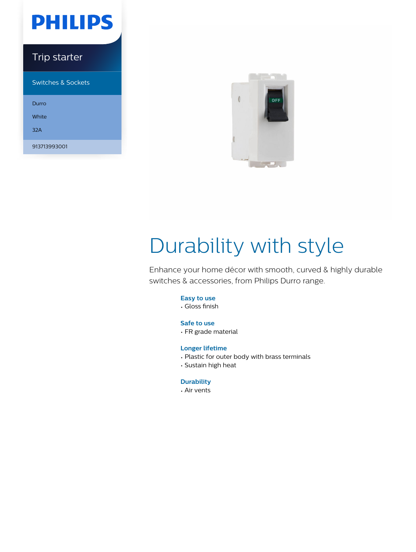# **PHILIPS**

### Trip starter

Switches & Sockets

Durro White 32A 913713993001



# Durability with style

Enhance your home décor with smooth, curved & highly durable switches & accessories, from Philips Durro range.

#### **Easy to use**

• Gloss finish

#### **Safe to use**

• FR grade material

#### **Longer lifetime**

- Plastic for outer body with brass terminals
- Sustain high heat

#### **Durability**

• Air vents